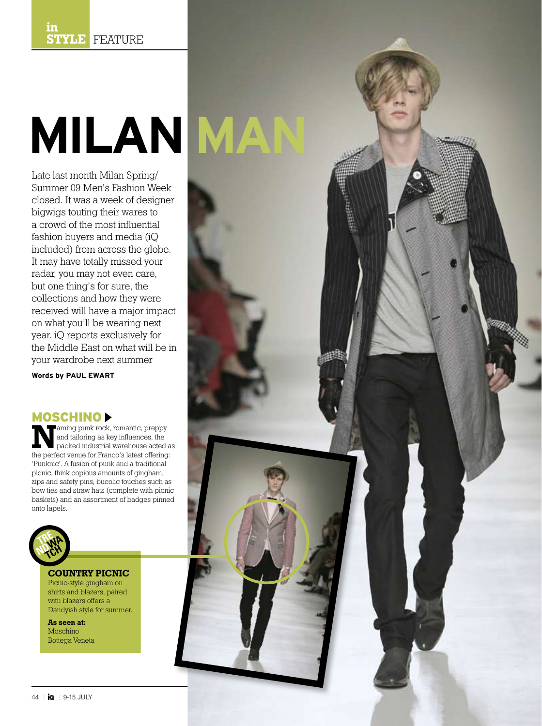# **Milan Man**

Late last month Milan Spring/ Summer 09 Men's Fashion Week closed. It was a week of designer bigwigs touting their wares to a crowd of the most influential fashion buyers and media (iQ included) from across the globe. It may have totally missed your radar, you may not even care, but one thing's for sure, the collections and how they were received will have a major impact on what you'll be wearing next year. iQ reports exclusively for the Middle East on what will be in your wardrobe next summer

**Words by PAUL EWART**

**MOSCHINO**<br> **Example Faming punk rock, romantic, preppy Naming punk rock, romantic, preppy**<br>
and tailoring as key influences, the<br>
packed industrial warehouse acted as<br>
the perfect vanue for Fance's latest effections: and tailoring as key influences, the the perfect venue for Franco's latest offering: 'Punknic'. A fusion of punk and a traditional picnic, think copious amounts of gingham, zips and safety pins, bucolic touches such as bow ties and straw hats (complete with picnic baskets) and an assortment of badges pinned onto lapels.



#### **COUNTRY PICNIC**

Picnic-style gingham on shirts and blazers, paired with blazers offers a Dandyish style for summer.

**As seen at:** Moschino Bottega Veneta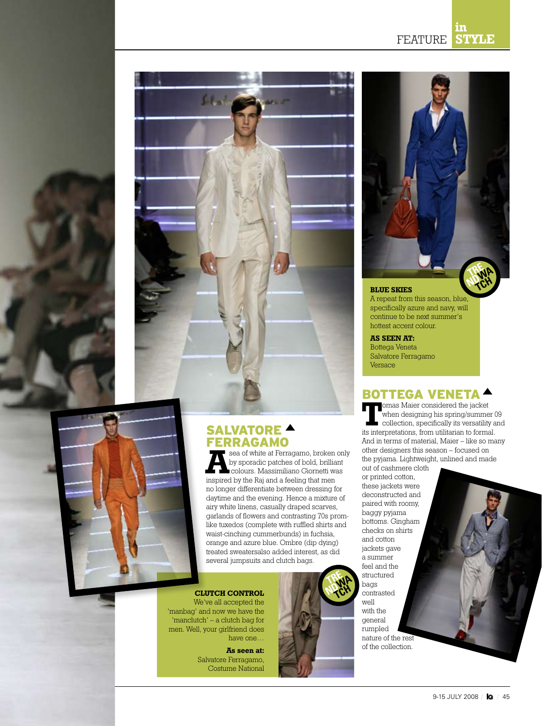



## SALVATORE **A**

**FERRAGAMO**<br>**The sea of white at Ferragamo, broken only Asea of white at Ferragamo, broken only<br>
by sporadic patches of bold, brilliant<br>
colours. Massimiliano Giornetti was<br>
incovired by the Pai and a fooling that mon** by sporadic patches of bold, brilliant inspired by the Raj and a feeling that men no longer differentiate between dressing for daytime and the evening. Hence a mixture of airy white linens, casually draped scarves, garlands of flowers and contrasting 70s promlike tuxedos (complete with ruffled shirts and waist-cinching cummerbunds) in fuchsia, orange and azure blue. Ombre (dip dying) treated sweatersalso added interest, as did several jumpsuits and clutch bags.

#### **CLUTCH CONTROL**

We've all accepted the 'manbag' and now we have the 'manclutch' – a clutch bag for men. Well, your girlfriend does have one…

> **As seen at:** Salvatore Ferragamo, Costume National





#### **BLUE SKIES**

A repeat from this season, blue, specifically azure and navy, will continue to be next summer's hottest accent colour.

#### **AS SEEN AT:**

Bottega Veneta Salvatore Ferragamo Versace

#### BOTTEGA VENETA

**T**omas Maier considered the jacket when designing his spring/summer 09 collection, specifically its versatility and its interpretations, from utilitarian to formal. And in terms of material, Maier – like so many other designers this season – focused on the pyjama. Lightweight, unlined and made

out of cashmere cloth or printed cotton, these jackets were deconstructed and paired with roomy, baggy pyjama bottoms. Gingham checks on shirts and cotton jackets gave a summer feel and the structured bags contrasted well with the general rumpled nature of the rest of the collection.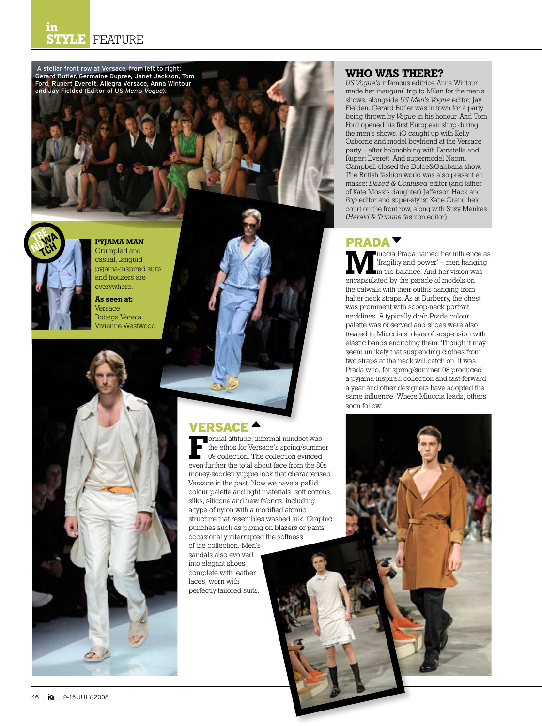

#### **WHO WAS THERE?**

*US Vogue's* infamous editrice Anna Wintour made her inaugural trip to Milan for the men's shows, alongside *US Men's Vogue* editor, Jay Fielden. Gerard Butler was in town for a party being thrown by *Vogue* in his honour. And Tom Ford opened his first European shop during the men's shows. iQ caught up with Kelly Osborne and model boyfriend at the Versace party – after hobnobbing with Donatella and Rupert Everett. And supermodel Naomi Campbell closed the Dolce&Gabbana show. The British fashion world was also present en masse: *Dazed & Confused* editor (and father of Kate Moss's daughter) Jefferson Hack and *Pop* editor and super-stylist Katie Grand held court on the front row, along with Suzy Menkes (*Herald & Tribune* fashion editor).

#### PRADA

**M**iuccia Prada named her influence as 'fragility and power' – men hanging in the balance. And her vision was encapsulated by the parade of models on the catwalk with their outfits hanging from halter-neck straps. As at Burberry, the chest was prominent with scoop-neck portrait necklines. A typically drab Prada colour palette was observed and shoes were also treated to Miuccia's ideas of suspension with elastic bands encircling them. Though it may seem unlikely that suspending clothes from two straps at the neck will catch on, it was Prada who, for spring/summer 08 produced a pyjama-inspired collection and fast-forward a year and other designers have adopted the same influence. Where Miuccia leads, others soon follow!

**F**ormal attitude, informal mindset was the ethos for Versace's spring/summer 09 collection. The collection evinced even further the total about-face from the 80s money-sodden yuppie look that characterised Versace in the past. Now we have a pallid colour palette and light materials: soft cottons, silks, silicone and new fabrics, including a type of nylon with a modified atomic structure that resembles washed silk. Graphic punches such as piping on blazers or pants occasionally interrupted the softness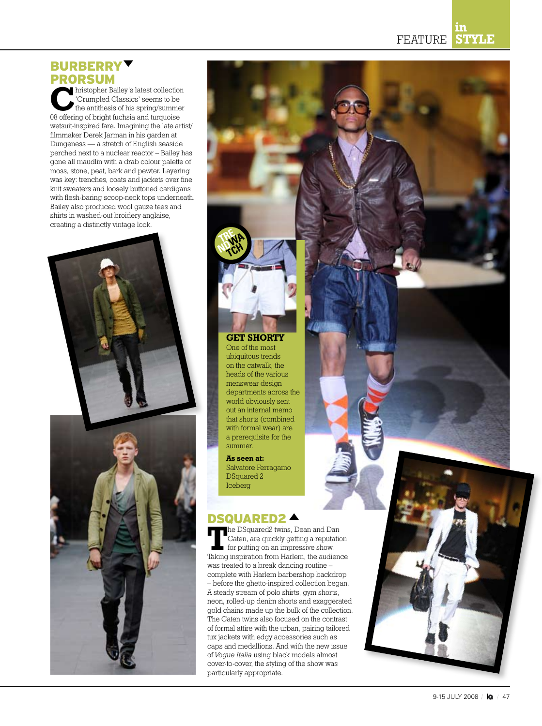#### **in STYLE** FEATURE

### **BURBERRY** PRORSUM

**C**hristopher Bailey's latest collection 'Crumpled Classics' seems to be the antithesis of his spring/summer 08 offering of bright fuchsia and turquoise wetsuit-inspired fare. Imagining the late artist/ filmmaker Derek Jarman in his garden at Dungeness — a stretch of English seaside perched next to a nuclear reactor – Bailey has gone all maudlin with a drab colour palette of moss, stone, peat, bark and pewter. Layering was key: trenches, coats and jackets over fine knit sweaters and loosely buttoned cardigans with flesh-baring scoop-neck tops underneath. Bailey also produced wool gauze tees and shirts in washed-out broidery anglaise, creating a distinctly vintage look.





#### **GET SHORTY**

**TRE NDWA TCH**

> One of the most ubiquitous trends on the catwalk, the heads of the various menswear design departments across the world obviously sent out an internal memo that shorts (combined with formal wear) are a prerequisite for the summer.

**As seen at:** Salvatore Ferragamo DSquared 2 Iceberg

#### DSQUARED2

**T**he DSquared2 twins, Dean and Dan Caten, are quickly getting a reputation for putting on an impressive show. Taking inspiration from Harlem, the audience was treated to a break dancing routine – complete with Harlem barbershop backdrop – before the ghetto-inspired collection began. A steady stream of polo shirts, gym shorts, neon, rolled-up denim shorts and exaggerated gold chains made up the bulk of the collection. The Caten twins also focused on the contrast of formal attire with the urban, pairing tailored tux jackets with edgy accessories such as caps and medallions. And with the new issue of *Vogue Italia* using black models almost cover-to-cover, the styling of the show was particularly appropriate.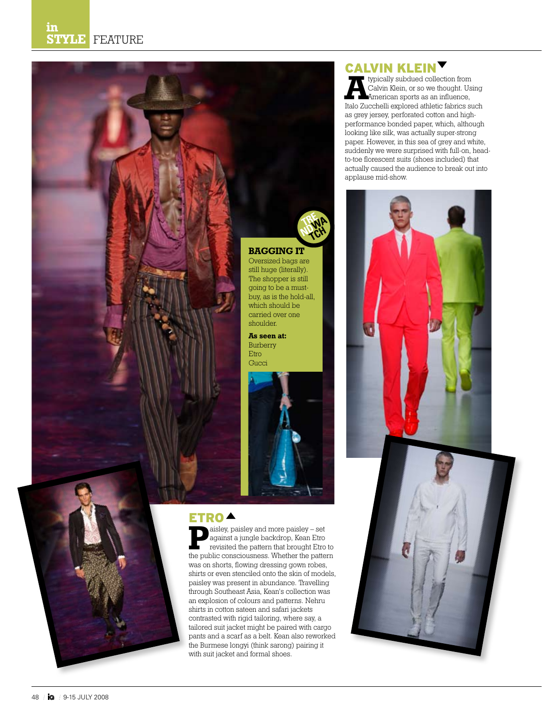

an explosion of colours and patterns. Nehru shirts in cotton sateen and safari jackets contrasted with rigid tailoring, where say, a tailored suit jacket might be paired with cargo pants and a scarf as a belt. Kean also reworked the Burmese longyi (think sarong) pairing it with suit jacket and formal shoes.

### **CALVIN KLEIN<sup>V</sup>**

**A**typically subdued collection from Calvin Klein, or so we thought. Using American sports as an influence, Italo Zucchelli explored athletic fabrics such as grey jersey, perforated cotton and highperformance bonded paper, which, although looking like silk, was actually super-strong paper. However, in this sea of grey and white, suddenly we were surprised with full-on, headto-toe florescent suits (shoes included) that actually caused the audience to break out into applause mid-show.